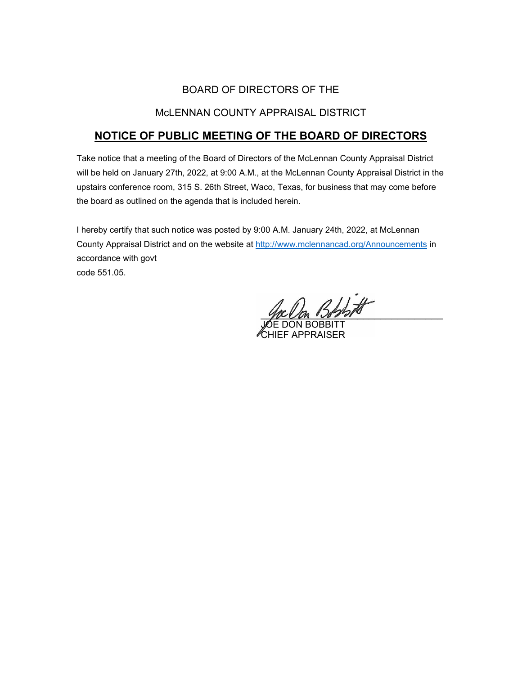# BOARD OF DIRECTORS OF THE

# McLENNAN COUNTY APPRAISAL DISTRICT

# **NOTICE OF PUBLIC MEETING OF THE BOARD OF DIRECTORS**

Take notice that a meeting of the Board of Directors of the McLennan County Appraisal District will be held on January 27th, 2022, at 9:00 A.M., at the McLennan County Appraisal District in the upstairs conference room, 315 S. 26th Street, Waco, Texas, for business that may come before the board as outlined on the agenda that is included herein.

I hereby certify that such notice was posted by 9:00 A.M. January 24th, 2022, at McLennan County Appraisal District and on the website at [http://www.mclennancad.org/Announcements](http://www.mclennancad.org/index.php/Announcements) in accordance with govt code 551.05.

BADA

JOE DON BOBBITT CHIEF APPRAISER